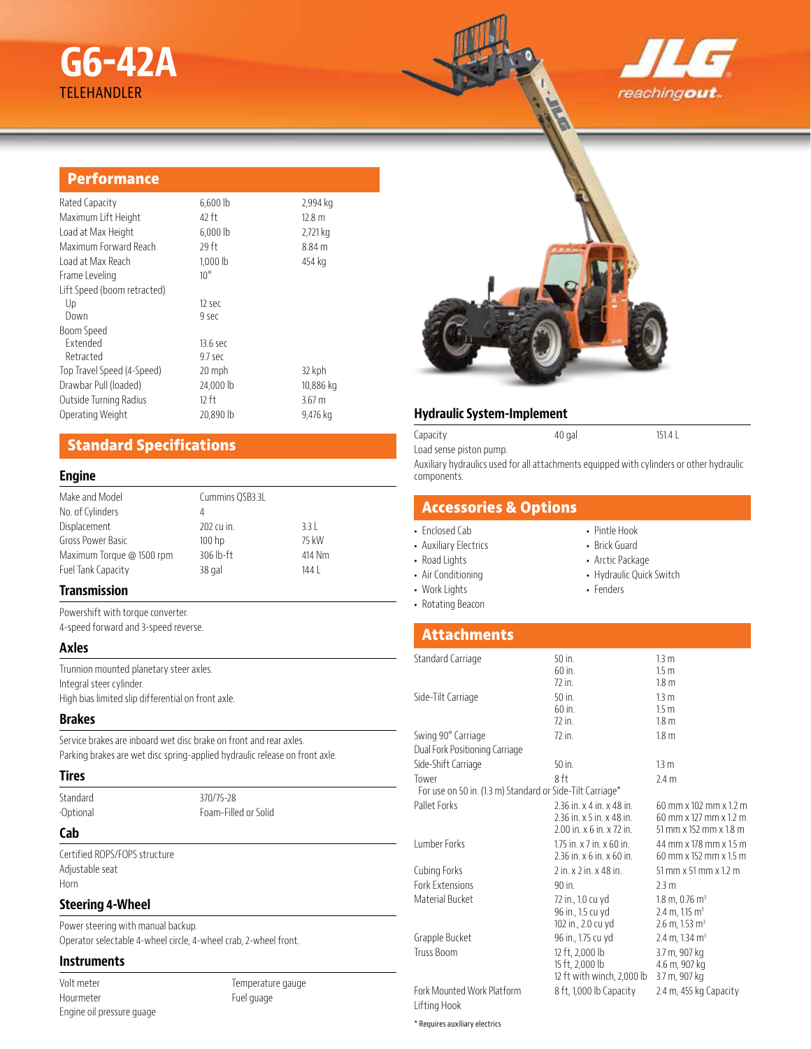# **G6-42A** TELEHANDLER





# **Performance**

| Rated Capacity              | $6,600$ lb   | 2,994 kg          |
|-----------------------------|--------------|-------------------|
| Maximum Lift Height         | 42 ft        | 12.8 <sub>m</sub> |
| Load at Max Height          | $6,000$ lb   | 2,721 kg          |
| Maximum Forward Reach       | 29 ft        | 8.84 <sub>m</sub> |
| Load at Max Reach           | 1,000 lb     | 454 kg            |
| Frame Leveling              | $10^{\circ}$ |                   |
| Lift Speed (boom retracted) |              |                   |
| Up                          | 12 sec       |                   |
| Down                        | 9 sec        |                   |
| Boom Speed                  |              |                   |
| Extended                    | 13.6 sec     |                   |
| Retracted                   | 9.7 sec      |                   |
| Top Travel Speed (4-Speed)  | 20 mph       | 32 kph            |
| Drawbar Pull (loaded)       | 24,000 lb    | 10,886 kg         |
| Outside Turning Radius      | 12 ft        | 3.67 <sub>m</sub> |
| Operating Weight            | 20,890 lb    | 9,476 kg          |
|                             |              |                   |

# **Standard Specifications**

#### **Engine**

| Make and Model            | Cummins QSB3.3L   |        |
|---------------------------|-------------------|--------|
| No. of Cylinders          | 4                 |        |
| Displacement              | 202 cu in.        | 3.31   |
| Gross Power Basic         | 100 <sub>hp</sub> | 75 kW  |
| Maximum Torque @ 1500 rpm | $306$ lb-ft       | 414 Nm |
| Fuel Tank Capacity        | 38 gal            | 144    |
|                           |                   |        |

# **Transmission**

Powershift with torque converter. 4-speed forward and 3-speed reverse.

#### **Axles**

Trunnion mounted planetary steer axles. Integral steer cylinder. High bias limited slip differential on front axle.

### **Brakes**

Service brakes are inboard wet disc brake on front and rear axles. Parking brakes are wet disc spring-applied hydraulic release on front axle.

#### **Tires**

Standard 370/75-28

•Optional Foam-Filled or Solid

# **Cab**

Certified ROPS/FOPS structure Adjustable seat Horn

#### **Steering 4-Wheel**

Power steering with manual backup. Operator selectable 4-wheel circle, 4-wheel crab, 2-wheel front.

#### **Instruments**

Volt meter Hourmeter Engine oil pressure guage Temperature gauge Fuel guage

### **Hydraulic System-Implement**

Capacity 40 gal 151.4 L Load sense piston pump. Auxiliary hydraulics used for all attachments equipped with cylinders or other hydraulic components.

# **Accessories & Options**

#### • Enclosed Cab

- Auxiliary Electrics
- Road Lights
- Air Conditioning
- Work Lights
- Rotating Beacon
- Pintle Hook • Brick Guard
- Arctic Package
- Hydraulic Quick Switch
- Fenders

# **Attachments**

| Standard Carriage                                         | $50$ in.                                | 13 <sub>m</sub>                       |  |
|-----------------------------------------------------------|-----------------------------------------|---------------------------------------|--|
|                                                           | 60 in.                                  | 1.5 <sub>m</sub>                      |  |
|                                                           | $72$ in.                                | 1.8 <sub>m</sub>                      |  |
| Side-Tilt Carriage                                        | $50$ in.                                | 13 <sub>m</sub>                       |  |
|                                                           | $60$ in.                                | 1.5 <sub>m</sub>                      |  |
|                                                           | $72$ in.                                | 1.8 <sub>m</sub>                      |  |
| Swing 90° Carriage                                        | $72$ in.                                | 1.8 <sub>m</sub>                      |  |
| Dual Fork Positioning Carriage                            |                                         |                                       |  |
| Side-Shift Carriage                                       | $50$ in.                                | 13 <sub>m</sub>                       |  |
| Tower                                                     | 8 ft                                    | 2.4 <sub>m</sub>                      |  |
| For use on 50 in. (1.3 m) Standard or Side-Tilt Carriage* |                                         |                                       |  |
| Pallet Forks                                              | 2.36 in. x 4 in. x 48 in.               | 60 mm x 102 mm x 1.2 m                |  |
|                                                           | 2.36 in. x 5 in. x 48 in.               | 60 mm x 127 mm x 1.2 m                |  |
|                                                           | 2.00 in. x 6 in. x 72 in.               | 51 mm x 152 mm x 1.8 m                |  |
| <b>Lumber Forks</b>                                       | 1.75 in. $\times$ 7 in. $\times$ 60 in. | 44 mm x 178 mm x 1.5 m                |  |
|                                                           | $2.36$ in. $x$ 6 in. $x$ 60 in.         | 60 mm x 152 mm x 1.5 m                |  |
| Cubing Forks                                              | 2 in. x 2 in. x 48 in.                  | $51$ mm x $51$ mm x $12$ m            |  |
| Fork Extensions                                           | $90$ in.                                | 2.3 m                                 |  |
| Material Bucket                                           | 72 in., 1.0 cu yd                       | $1.8 \text{ m}$ , 0.76 m <sup>3</sup> |  |
|                                                           | 96 in., 1.5 cu yd                       | $2.4 \text{ m}$ , 1.15 m <sup>3</sup> |  |
|                                                           | 102 in., 2.0 cu yd                      | $2.6$ m, 1.53 m <sup>3</sup>          |  |
| Grapple Bucket                                            | 96 in., 1.75 cu yd                      | 2.4 m, 1.34 m <sup>3</sup>            |  |
| Truss Boom                                                | 12 ft, 2,000 lb                         | 3.7 m, 907 kg                         |  |
|                                                           | 15 ft, 2,000 lb                         | 4.6 m, 907 kg                         |  |
|                                                           | 12 ft with winch, 2,000 lb              | 3.7 m, 907 kg                         |  |
| Fork Mounted Work Platform                                | 8 ft, 1,000 lb Capacity                 | 2.4 m, 455 kg Capacity                |  |
| Lifting Hook                                              |                                         |                                       |  |

\* Requires auxiliary electrics